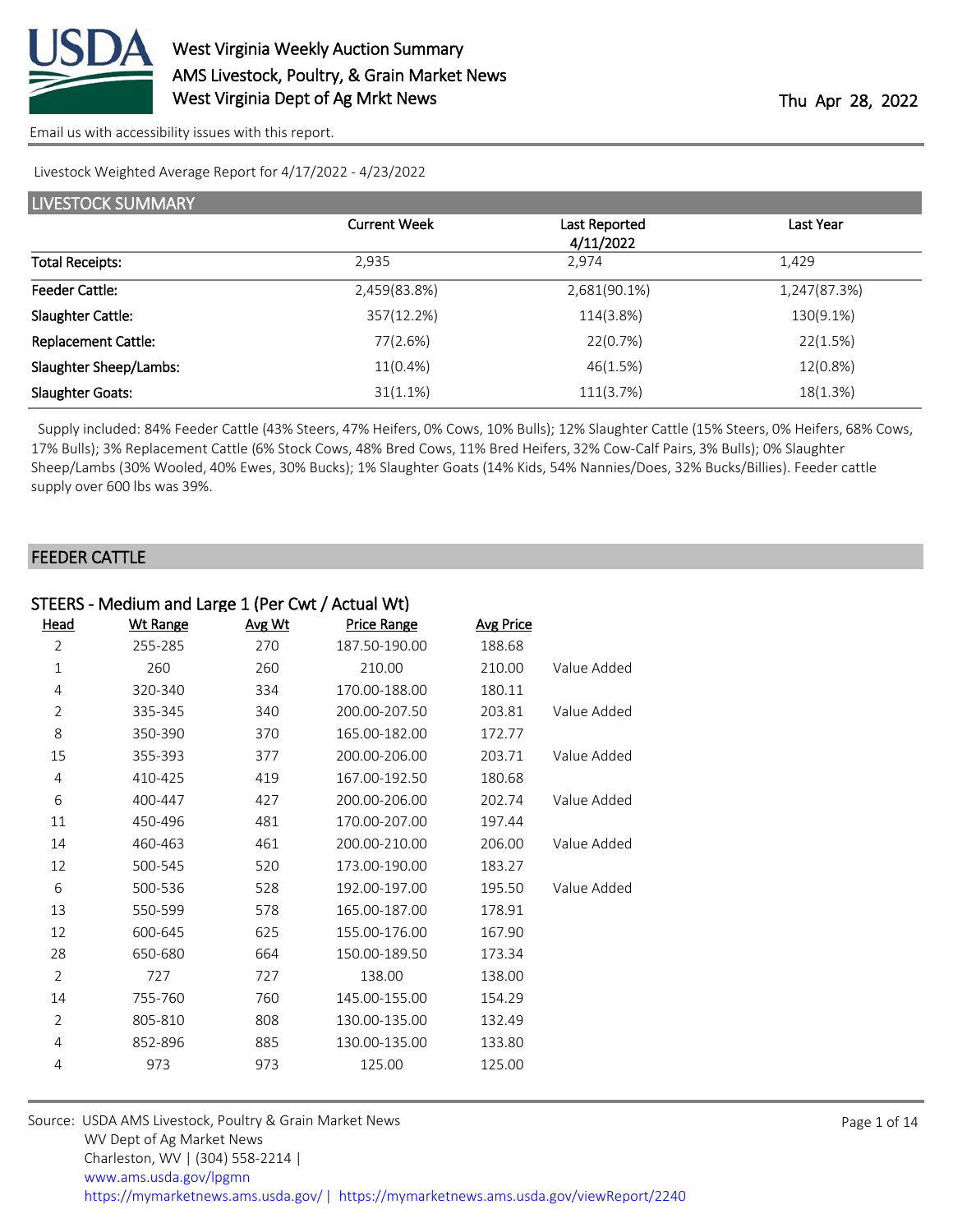

Livestock Weighted Average Report for 4/17/2022 - 4/23/2022

| <b>LIVESTOCK SUMMARY</b>   |                     |                            |              |  |
|----------------------------|---------------------|----------------------------|--------------|--|
|                            | <b>Current Week</b> | Last Reported<br>4/11/2022 | Last Year    |  |
| <b>Total Receipts:</b>     | 2,935               | 2,974                      | 1,429        |  |
| <b>Feeder Cattle:</b>      | 2,459(83.8%)        | 2,681(90.1%)               | 1,247(87.3%) |  |
| Slaughter Cattle:          | 357(12.2%)          | 114(3.8%)                  | 130(9.1%)    |  |
| <b>Replacement Cattle:</b> | 77(2.6%)            | 22(0.7%)                   | 22(1.5%)     |  |
| Slaughter Sheep/Lambs:     | 11(0.4%)            | 46(1.5%)                   | 12(0.8%)     |  |
| <b>Slaughter Goats:</b>    | 31(1.1%)            | 111(3.7%)                  | 18(1.3%)     |  |

 Supply included: 84% Feeder Cattle (43% Steers, 47% Heifers, 0% Cows, 10% Bulls); 12% Slaughter Cattle (15% Steers, 0% Heifers, 68% Cows, 17% Bulls); 3% Replacement Cattle (6% Stock Cows, 48% Bred Cows, 11% Bred Heifers, 32% Cow-Calf Pairs, 3% Bulls); 0% Slaughter Sheep/Lambs (30% Wooled, 40% Ewes, 30% Bucks); 1% Slaughter Goats (14% Kids, 54% Nannies/Does, 32% Bucks/Billies). Feeder cattle supply over 600 lbs was 39%.

### FEEDER CATTLE

| STEERS - Medium and Large 1 (Per Cwt / Actual Wt) |                 |        |                    |                  |             |
|---------------------------------------------------|-----------------|--------|--------------------|------------------|-------------|
| <b>Head</b>                                       | <b>Wt Range</b> | Avg Wt | <b>Price Range</b> | <b>Avg Price</b> |             |
| 2                                                 | 255-285         | 270    | 187.50-190.00      | 188.68           |             |
| 1                                                 | 260             | 260    | 210.00             | 210.00           | Value Added |
| 4                                                 | 320-340         | 334    | 170.00-188.00      | 180.11           |             |
| 2                                                 | 335-345         | 340    | 200.00-207.50      | 203.81           | Value Added |
| 8                                                 | 350-390         | 370    | 165.00-182.00      | 172.77           |             |
| 15                                                | 355-393         | 377    | 200.00-206.00      | 203.71           | Value Added |
| $\overline{4}$                                    | 410-425         | 419    | 167.00-192.50      | 180.68           |             |
| 6                                                 | 400-447         | 427    | 200.00-206.00      | 202.74           | Value Added |
| 11                                                | 450-496         | 481    | 170.00-207.00      | 197.44           |             |
| 14                                                | 460-463         | 461    | 200.00-210.00      | 206.00           | Value Added |
| 12                                                | 500-545         | 520    | 173.00-190.00      | 183.27           |             |
| 6                                                 | 500-536         | 528    | 192.00-197.00      | 195.50           | Value Added |
| 13                                                | 550-599         | 578    | 165.00-187.00      | 178.91           |             |
| 12                                                | 600-645         | 625    | 155.00-176.00      | 167.90           |             |
| 28                                                | 650-680         | 664    | 150.00-189.50      | 173.34           |             |
| $\overline{2}$                                    | 727             | 727    | 138.00             | 138.00           |             |
| 14                                                | 755-760         | 760    | 145.00-155.00      | 154.29           |             |
| 2                                                 | 805-810         | 808    | 130.00-135.00      | 132.49           |             |
| 4                                                 | 852-896         | 885    | 130.00-135.00      | 133.80           |             |
| 4                                                 | 973             | 973    | 125.00             | 125.00           |             |
|                                                   |                 |        |                    |                  |             |

| Source: USDA AMS Livestock, Poultry & Grain Market News                                |
|----------------------------------------------------------------------------------------|
| WV Dept of Ag Market News                                                              |
| Charleston, WV   (304) 558-2214                                                        |
| www.ams.usda.gov/lpgmn                                                                 |
| https://mymarketnews.ams.usda.gov/   https://mymarketnews.ams.usda.gov/viewReport/2240 |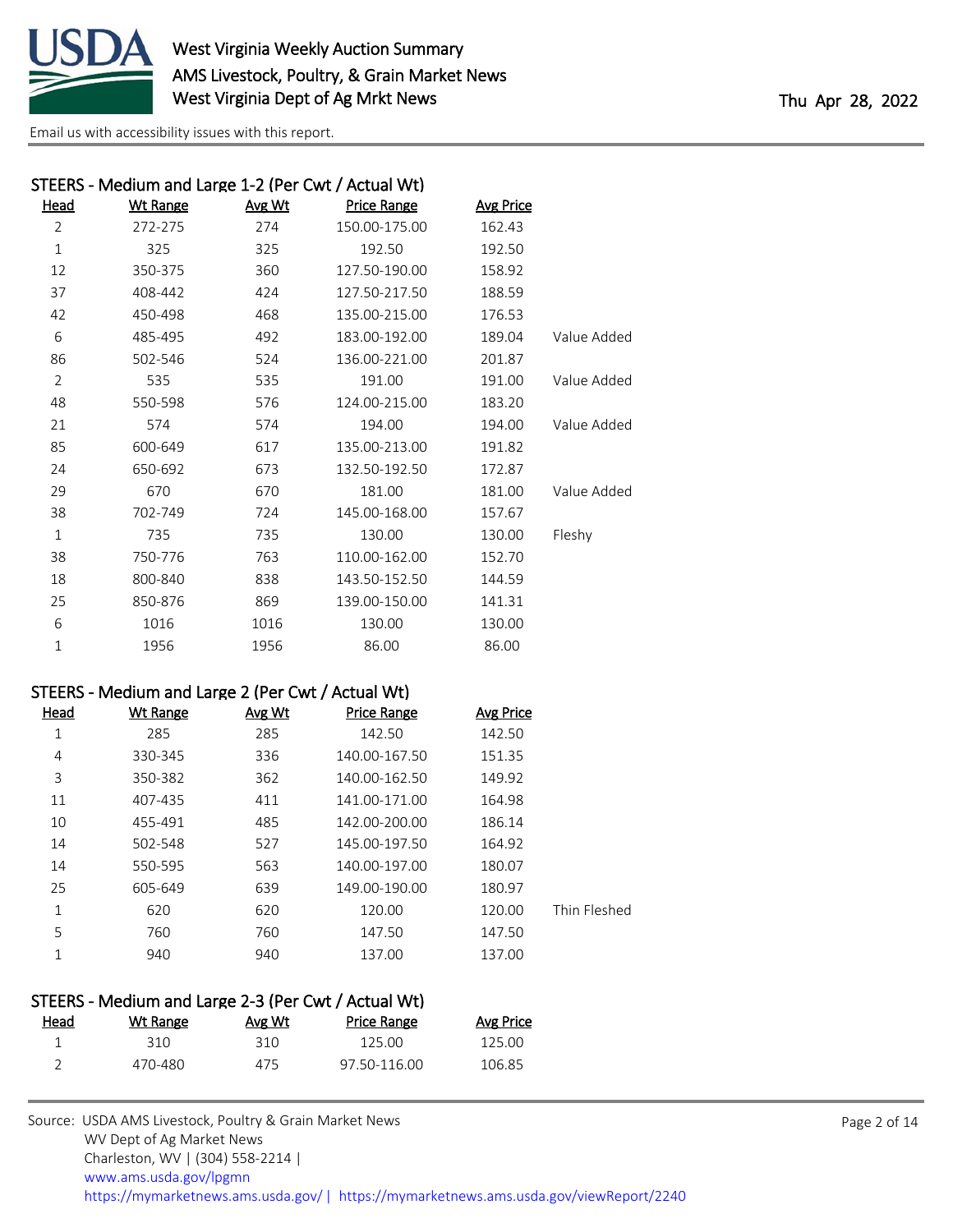

| STEERS - Medium and Large 1-2 (Per Cwt / Actual Wt) |                 |        |                    |                  |             |
|-----------------------------------------------------|-----------------|--------|--------------------|------------------|-------------|
| Head                                                | <b>Wt Range</b> | Avg Wt | <b>Price Range</b> | <b>Avg Price</b> |             |
| $\overline{2}$                                      | 272-275         | 274    | 150.00-175.00      | 162.43           |             |
| $\mathbf{1}$                                        | 325             | 325    | 192.50             | 192.50           |             |
| 12                                                  | 350-375         | 360    | 127.50-190.00      | 158.92           |             |
| 37                                                  | 408-442         | 424    | 127.50-217.50      | 188.59           |             |
| 42                                                  | 450-498         | 468    | 135.00-215.00      | 176.53           |             |
| 6                                                   | 485-495         | 492    | 183.00-192.00      | 189.04           | Value Added |
| 86                                                  | 502-546         | 524    | 136.00-221.00      | 201.87           |             |
| 2                                                   | 535             | 535    | 191.00             | 191.00           | Value Added |
| 48                                                  | 550-598         | 576    | 124.00-215.00      | 183.20           |             |
| 21                                                  | 574             | 574    | 194.00             | 194.00           | Value Added |
| 85                                                  | 600-649         | 617    | 135.00-213.00      | 191.82           |             |
| 24                                                  | 650-692         | 673    | 132.50-192.50      | 172.87           |             |
| 29                                                  | 670             | 670    | 181.00             | 181.00           | Value Added |
| 38                                                  | 702-749         | 724    | 145.00-168.00      | 157.67           |             |
| $\mathbf 1$                                         | 735             | 735    | 130.00             | 130.00           | Fleshy      |
| 38                                                  | 750-776         | 763    | 110.00-162.00      | 152.70           |             |
| 18                                                  | 800-840         | 838    | 143.50-152.50      | 144.59           |             |
| 25                                                  | 850-876         | 869    | 139.00-150.00      | 141.31           |             |
| 6                                                   | 1016            | 1016   | 130.00             | 130.00           |             |
| 1                                                   | 1956            | 1956   | 86.00              | 86.00            |             |

### STEERS - Medium and Large 2 (Per Cwt / Actual Wt)

|              | <b>Avg Price</b> | <b>Price Range</b> | Avg Wt | Wt Range | Head |
|--------------|------------------|--------------------|--------|----------|------|
|              | 142.50           | 142.50             | 285    | 285      | 1    |
|              | 151.35           | 140.00-167.50      | 336    | 330-345  | 4    |
|              | 149.92           | 140.00-162.50      | 362    | 350-382  | 3    |
|              | 164.98           | 141.00-171.00      | 411    | 407-435  | 11   |
|              | 186.14           | 142.00-200.00      | 485    | 455-491  | 10   |
|              | 164.92           | 145.00-197.50      | 527    | 502-548  | 14   |
|              | 180.07           | 140.00-197.00      | 563    | 550-595  | 14   |
|              | 180.97           | 149.00-190.00      | 639    | 605-649  | 25   |
| Thin Fleshed | 120.00           | 120.00             | 620    | 620      | 1    |
|              | 147.50           | 147.50             | 760    | 760      | 5    |
|              | 137.00           | 137.00             | 940    | 940      |      |
|              |                  |                    |        |          |      |

#### STEERS - Medium and Large 2-3 (Per Cwt / Actual Wt) Price Range Avg Price

| <u>Licau</u> | <u>VVL Range</u> | N5W  | <b>THUE Range</b> | $N5$ Tires |
|--------------|------------------|------|-------------------|------------|
|              | 310              | 31 N | 125.00            | 125.00     |
|              | 470-480          | 475  | 97.50-116.00      | 106.85     |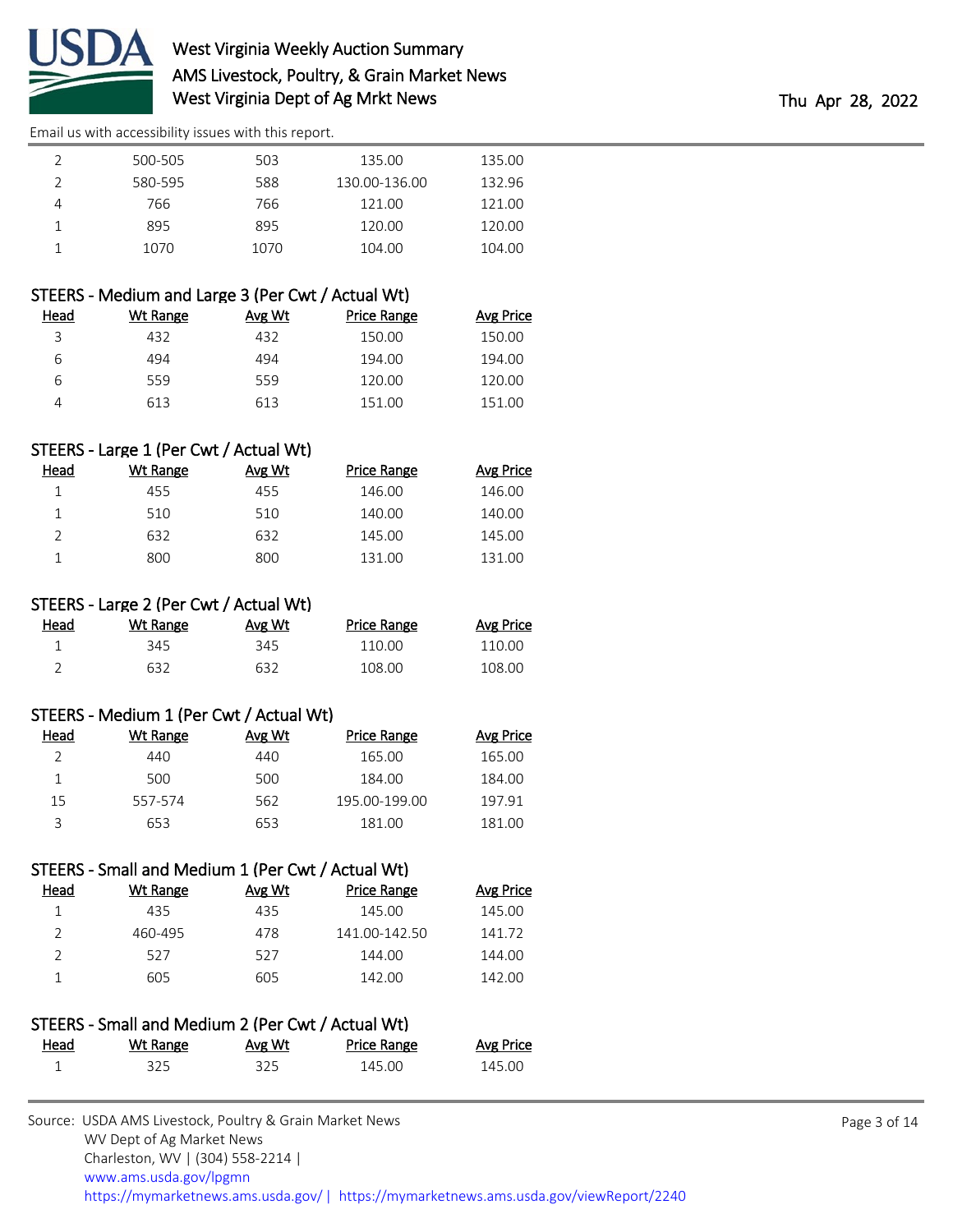

| 500-505 | 503  | 135.00        | 135.00 |
|---------|------|---------------|--------|
| 580-595 | 588  | 130.00-136.00 | 132.96 |
| 766     | 766  | 121.00        | 121.00 |
| 895     | 895  | 120.00        | 120.00 |
| 1070    | 1070 | 104.00        | 104.00 |
|         |      |               |        |

### STEERS - Medium and Large 3 (Per Cwt / Actual Wt)

| Wt Range | Avg Wt | Price Range | Avg Price |
|----------|--------|-------------|-----------|
| 432      | 432    | 150.00      | 150.00    |
| 494      | 494    | 194.00      | 194.00    |
| 559      | 559    | 120.00      | 120.00    |
| 613      | 613    | 151.00      | 151.00    |
|          |        |             |           |

### STEERS - Large 1 (Per Cwt / Actual Wt)

| Head | Wt Range | Avg Wt | <b>Price Range</b> | Avg Price |
|------|----------|--------|--------------------|-----------|
|      | 455      | 455    | 146.00             | 146.00    |
|      | 510      | 510    | 140.00             | 140.00    |
|      | 632      | 632    | 145.00             | 145.00    |
|      | 800      | 800    | 131.00             | 131.00    |

### STEERS - Large 2 (Per Cwt / Actual Wt)

| <u>Head</u> | Wt Range | <b>Avg Wt</b> | <b>Price Range</b> | <b>Avg Price</b> |
|-------------|----------|---------------|--------------------|------------------|
|             | 345      | 345           | 110.00             | 110.00           |
|             | 632      | 632           | 108.00             | 108.00           |

### STEERS - Medium 1 (Per Cwt / Actual Wt)

| Head | Wt Range | Avg Wt | <b>Price Range</b> | Avg Price |
|------|----------|--------|--------------------|-----------|
|      | 440      | 440    | 165.00             | 165.00    |
|      | 500      | 500    | 184.00             | 184.00    |
| 15   | 557-574  | 562    | 195.00-199.00      | 197.91    |
| ς    | 653      | 653    | 181.00             | 181.00    |

### STEERS - Small and Medium 1 (Per Cwt / Actual Wt)

| Wt Range | Avg Wt | Price Range   | Avg Price |
|----------|--------|---------------|-----------|
| 435      | 435    | 145.00        | 145.00    |
| 460-495  | 478    | 141.00-142.50 | 141.72    |
| 527      | 527    | 144.00        | 144.00    |
| 605      | 605    | 142.00        | 142.00    |
|          |        |               |           |

| STEERS - Small and Medium 2 (Per Cwt / Actual Wt) |          |        |                    |                  |
|---------------------------------------------------|----------|--------|--------------------|------------------|
| Head                                              | Wt Range | Avg Wt | <b>Price Range</b> | <b>Avg Price</b> |
|                                                   | 325.     | 325    | 145.00             | 145.00           |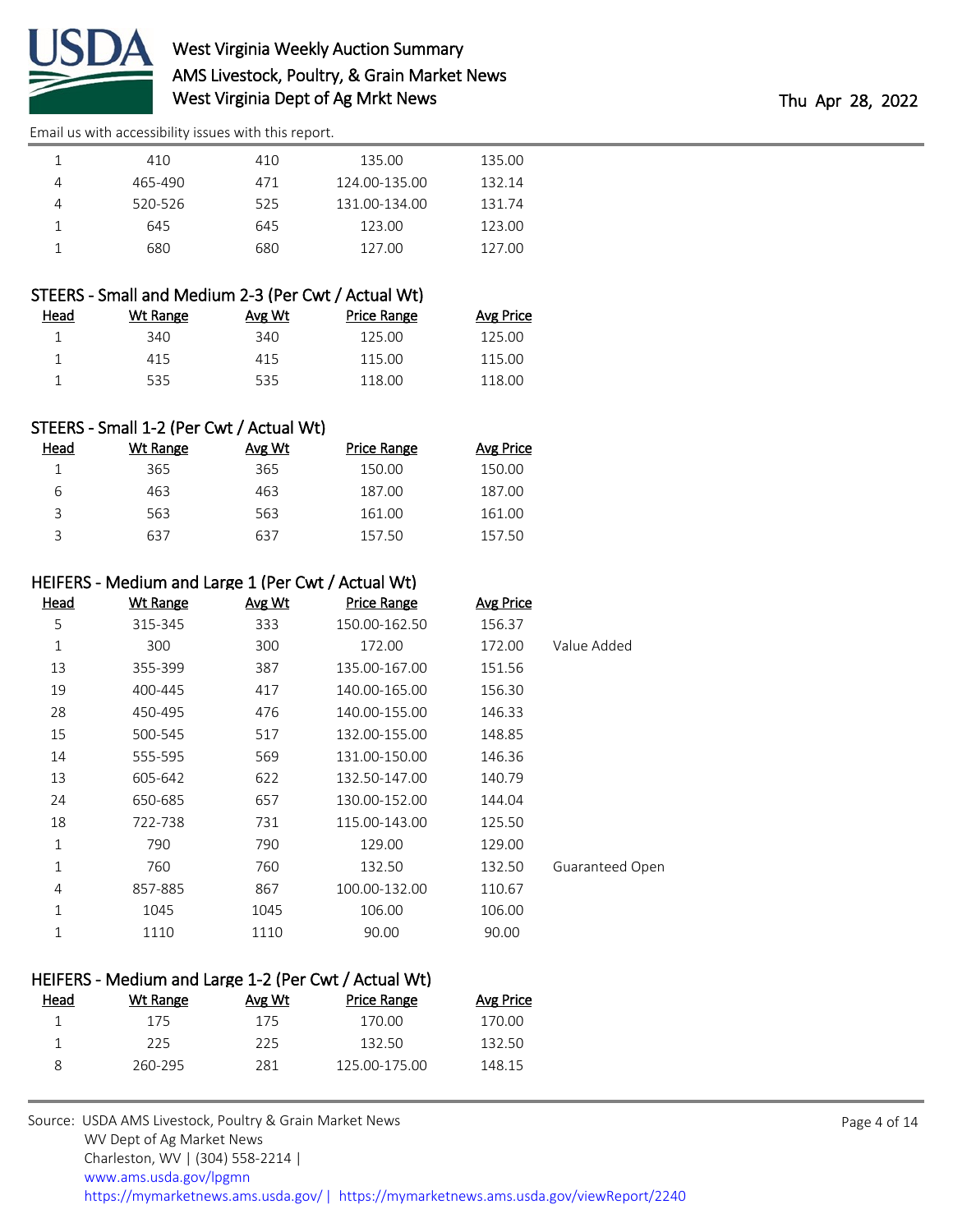

| 410     | 410 | 135.00        | 135.00 |
|---------|-----|---------------|--------|
| 465-490 | 471 | 124.00-135.00 | 132.14 |
| 520-526 | 525 | 131.00-134.00 | 131.74 |
| 645     | 645 | 123.00        | 123.00 |
| 680     | 680 | 127.00        | 127.00 |

### STEERS - Small and Medium 2-3 (Per Cwt / Actual Wt)

| Head | Wt Range | Avg Wt | Price Range | Avg Price |
|------|----------|--------|-------------|-----------|
|      | 340.     | 340    | 125.00      | 125.00    |
|      | 415      | 415    | 115.00      | 115.00    |
|      | 535      | 535    | 118.00      | 118.00    |

### STEERS - Small 1-2 (Per Cwt / Actual Wt)

| Head | Wt Range | Avg Wt | <b>Price Range</b> | <b>Avg Price</b> |
|------|----------|--------|--------------------|------------------|
|      | 365      | 365    | 150.00             | 150.00           |
| 6    | 463      | 463    | 187.00             | 187.00           |
| ς    | 563      | 563    | 161.00             | 161.00           |
|      | 637      | 637    | 157.50             | 157.50           |

### HEIFERS - Medium and Large 1 (Per Cwt / Actual Wt)

|                        | <b>Avg Price</b> | <b>Price Range</b> | Avg Wt | <b>Wt Range</b> | <u>Head</u> |
|------------------------|------------------|--------------------|--------|-----------------|-------------|
|                        | 156.37           | 150.00-162.50      | 333    | 315-345         | 5           |
| Value Added            | 172.00           | 172.00             | 300    | 300             | 1           |
|                        | 151.56           | 135.00-167.00      | 387    | 355-399         | 13          |
|                        | 156.30           | 140.00-165.00      | 417    | 400-445         | 19          |
|                        | 146.33           | 140.00-155.00      | 476    | 450-495         | 28          |
|                        | 148.85           | 132.00-155.00      | 517    | 500-545         | 15          |
|                        | 146.36           | 131.00-150.00      | 569    | 555-595         | 14          |
|                        | 140.79           | 132.50-147.00      | 622    | 605-642         | 13          |
|                        | 144.04           | 130.00-152.00      | 657    | 650-685         | 24          |
|                        | 125.50           | 115.00-143.00      | 731    | 722-738         | 18          |
|                        | 129.00           | 129.00             | 790    | 790             | $\mathbf 1$ |
| <b>Guaranteed Open</b> | 132.50           | 132.50             | 760    | 760             | $\mathbf 1$ |
|                        | 110.67           | 100.00-132.00      | 867    | 857-885         | 4           |
|                        | 106.00           | 106.00             | 1045   | 1045            | 1           |
|                        | 90.00            | 90.00              | 1110   | 1110            | 1           |
|                        |                  |                    |        |                 |             |

# HEIFERS - Medium and Large 1-2 (Per Cwt / Actual Wt) Head Wt Range Avg Wt Price Range Avg Price

| 175     | 175 | 170.00        | 170.00 |
|---------|-----|---------------|--------|
| 225     | 225 | 132.50        | 132.50 |
| 260-295 | 281 | 125.00-175.00 | 148.15 |
|         |     |               |        |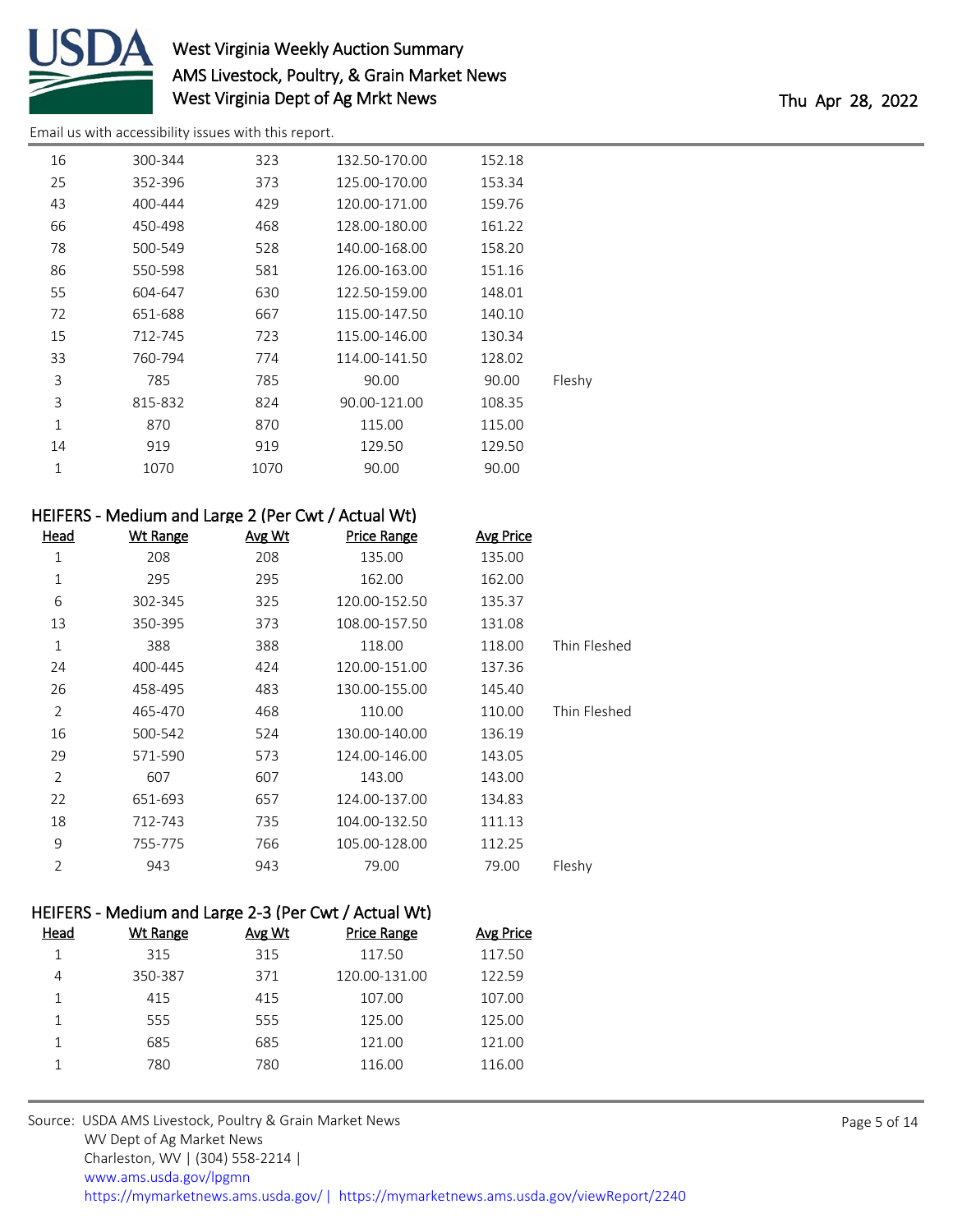

# West Virginia Weekly Auction Summary AMS Livestock, Poultry, & Grain Market News West Virginia Dept of Ag Mrkt News Thu Apr 28, 2022

[Email us with accessibility issues with this report.](mailto:mars@ams.usda.gov?subject=508%20issue)

| 16           | 300-344 | 323  | 132.50-170.00 | 152.18 |        |
|--------------|---------|------|---------------|--------|--------|
| 25           | 352-396 | 373  | 125.00-170.00 | 153.34 |        |
| 43           | 400-444 | 429  | 120.00-171.00 | 159.76 |        |
| 66           | 450-498 | 468  | 128.00-180.00 | 161.22 |        |
| 78           | 500-549 | 528  | 140.00-168.00 | 158.20 |        |
| 86           | 550-598 | 581  | 126.00-163.00 | 151.16 |        |
| 55           | 604-647 | 630  | 122.50-159.00 | 148.01 |        |
| 72           | 651-688 | 667  | 115.00-147.50 | 140.10 |        |
| 15           | 712-745 | 723  | 115.00-146.00 | 130.34 |        |
| 33           | 760-794 | 774  | 114.00-141.50 | 128.02 |        |
| 3            | 785     | 785  | 90.00         | 90.00  | Fleshy |
| 3            | 815-832 | 824  | 90.00-121.00  | 108.35 |        |
| $\mathbf{1}$ | 870     | 870  | 115.00        | 115.00 |        |
| 14           | 919     | 919  | 129.50        | 129.50 |        |
| $\mathbf 1$  | 1070    | 1070 | 90.00         | 90.00  |        |
|              |         |      |               |        |        |

## HEIFERS - Medium and Large 2 (Per Cwt / Actual Wt)

| <u>Head</u>    | <b>Wt Range</b> | Avg Wt | <b>Price Range</b> | <b>Avg Price</b> |              |
|----------------|-----------------|--------|--------------------|------------------|--------------|
| 1              | 208             | 208    | 135.00             | 135.00           |              |
| 1              | 295             | 295    | 162.00             | 162.00           |              |
| 6              | 302-345         | 325    | 120.00-152.50      | 135.37           |              |
| 13             | 350-395         | 373    | 108.00-157.50      | 131.08           |              |
| 1              | 388             | 388    | 118.00             | 118.00           | Thin Fleshed |
| 24             | 400-445         | 424    | 120.00-151.00      | 137.36           |              |
| 26             | 458-495         | 483    | 130.00-155.00      | 145.40           |              |
| $\overline{2}$ | 465-470         | 468    | 110.00             | 110.00           | Thin Fleshed |
| 16             | 500-542         | 524    | 130.00-140.00      | 136.19           |              |
| 29             | 571-590         | 573    | 124.00-146.00      | 143.05           |              |
| 2              | 607             | 607    | 143.00             | 143.00           |              |
| 22             | 651-693         | 657    | 124.00-137.00      | 134.83           |              |
| 18             | 712-743         | 735    | 104.00-132.50      | 111.13           |              |
| 9              | 755-775         | 766    | 105.00-128.00      | 112.25           |              |
| $\overline{2}$ | 943             | 943    | 79.00              | 79.00            | Fleshy       |

### HEIFERS - Medium and Large 2-3 (Per Cwt / Actual Wt)

| Head | <b>Wt Range</b> | Avg Wt | <b>Price Range</b> | Avg Price |
|------|-----------------|--------|--------------------|-----------|
|      | 315             | 315    | 117.50             | 117.50    |
| 4    | 350-387         | 371    | 120.00-131.00      | 122.59    |
|      | 415             | 415    | 107.00             | 107.00    |
|      | 555             | 555    | 125.00             | 125.00    |
|      | 685             | 685    | 121.00             | 121.00    |
|      | 780             | 780    | 116.00             | 116.00    |
|      |                 |        |                    |           |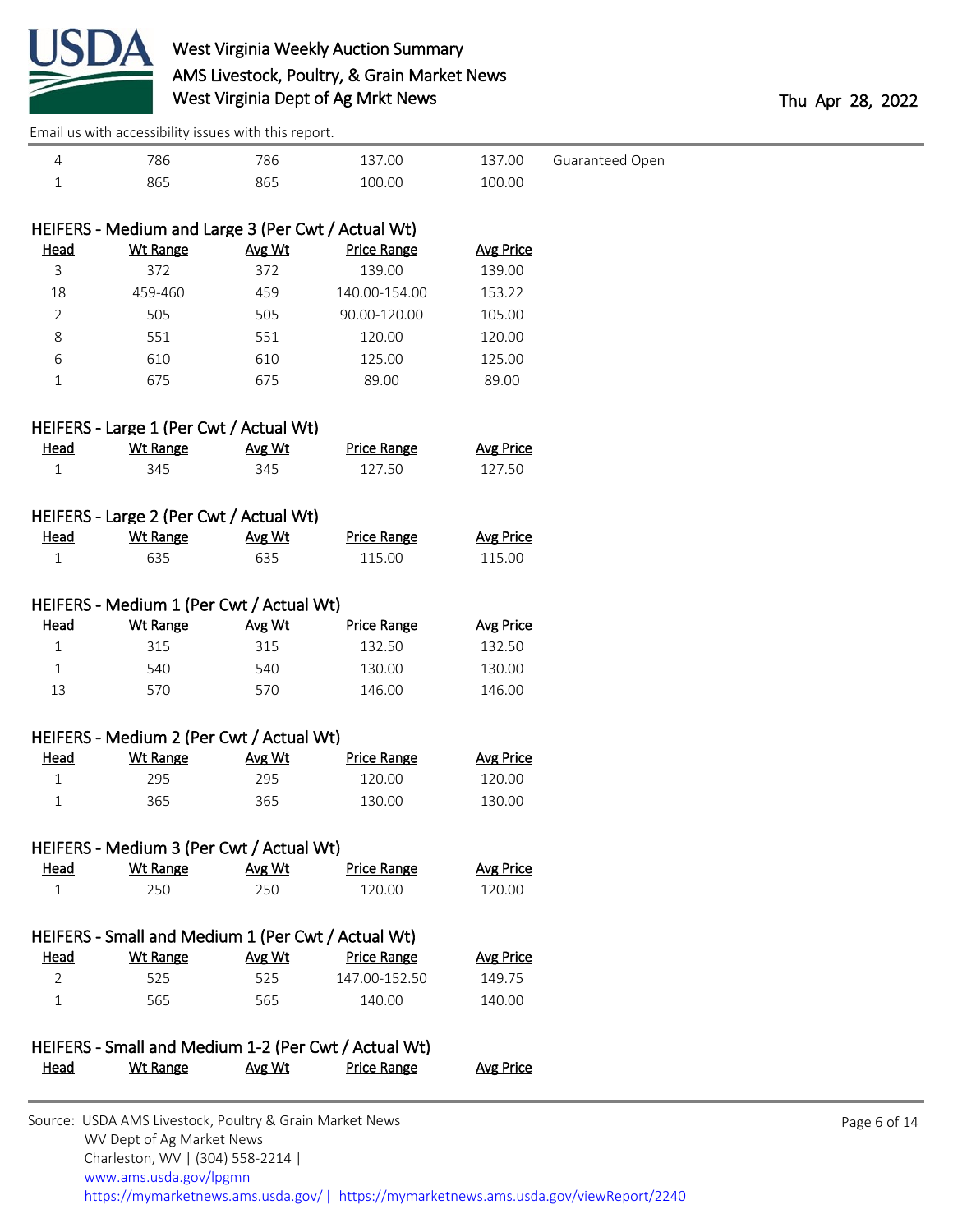

|                | Email us with accessibility issues with this report.       |               |                                                      |                  |                 |
|----------------|------------------------------------------------------------|---------------|------------------------------------------------------|------------------|-----------------|
| $\overline{4}$ | 786                                                        | 786           | 137.00                                               | 137.00           | Guaranteed Open |
| 1              | 865                                                        | 865           | 100.00                                               | 100.00           |                 |
|                |                                                            |               |                                                      |                  |                 |
|                | HEIFERS - Medium and Large 3 (Per Cwt / Actual Wt)         |               |                                                      |                  |                 |
| Head           | <b>Wt Range</b>                                            | Avg Wt        | <b>Price Range</b>                                   | <b>Avg Price</b> |                 |
| 3              | 372                                                        | 372           | 139.00                                               | 139.00           |                 |
| 18             | 459-460                                                    | 459           | 140.00-154.00                                        | 153.22           |                 |
| 2              | 505                                                        | 505           | 90.00-120.00                                         | 105.00           |                 |
| 8              | 551                                                        | 551           | 120.00                                               | 120.00           |                 |
| 6              | 610                                                        | 610           | 125.00                                               | 125.00           |                 |
| $\mathbf 1$    | 675                                                        | 675           | 89.00                                                | 89.00            |                 |
|                | HEIFERS - Large 1 (Per Cwt / Actual Wt)                    |               |                                                      |                  |                 |
| <b>Head</b>    | <b>Wt Range</b>                                            | Avg Wt        | <b>Price Range</b>                                   | <b>Avg Price</b> |                 |
| 1              | 345                                                        | 345           | 127.50                                               | 127.50           |                 |
|                |                                                            |               |                                                      |                  |                 |
| <b>Head</b>    | HEIFERS - Large 2 (Per Cwt / Actual Wt)<br><b>Wt Range</b> | Avg Wt        | <b>Price Range</b>                                   | <b>Avg Price</b> |                 |
| 1              | 635                                                        | 635           | 115.00                                               | 115.00           |                 |
|                |                                                            |               |                                                      |                  |                 |
|                | HEIFERS - Medium 1 (Per Cwt / Actual Wt)                   |               |                                                      |                  |                 |
| <b>Head</b>    | <b>Wt Range</b>                                            | Avg Wt        | <b>Price Range</b>                                   | <b>Avg Price</b> |                 |
| $\mathbf{1}$   | 315                                                        | 315           | 132.50                                               | 132.50           |                 |
| 1              | 540                                                        | 540           | 130.00                                               | 130.00           |                 |
| 13             | 570                                                        | 570           | 146.00                                               | 146.00           |                 |
|                | HEIFERS - Medium 2 (Per Cwt / Actual Wt)                   |               |                                                      |                  |                 |
| Head           | <b>Wt Range</b>                                            | Avg Wt        | <b>Price Range</b>                                   | <b>Avg Price</b> |                 |
| $\mathbf{1}$   | 295                                                        | 295           | 120.00                                               | 120.00           |                 |
| 1              | 365                                                        | 365           | 130.00                                               | 130.00           |                 |
|                | HEIFERS - Medium 3 (Per Cwt / Actual Wt)                   |               |                                                      |                  |                 |
| Head           | <b>Wt Range</b>                                            | <u>Avg Wt</u> | <b>Price Range</b>                                   | <b>Avg Price</b> |                 |
| 1              | 250                                                        | 250           | 120.00                                               | 120.00           |                 |
|                |                                                            |               |                                                      |                  |                 |
|                | HEIFERS - Small and Medium 1 (Per Cwt / Actual Wt)         |               |                                                      |                  |                 |
| Head           | <b>Wt Range</b>                                            | Avg Wt        | <b>Price Range</b>                                   | <b>Avg Price</b> |                 |
| $\overline{2}$ | 525                                                        | 525           | 147.00-152.50                                        | 149.75           |                 |
| 1              | 565                                                        | 565           | 140.00                                               | 140.00           |                 |
|                |                                                            |               | HEIFERS - Small and Medium 1-2 (Per Cwt / Actual Wt) |                  |                 |
| <u>Head</u>    | <b>Wt Range</b>                                            | Avg Wt        | <b>Price Range</b>                                   | <b>Avg Price</b> |                 |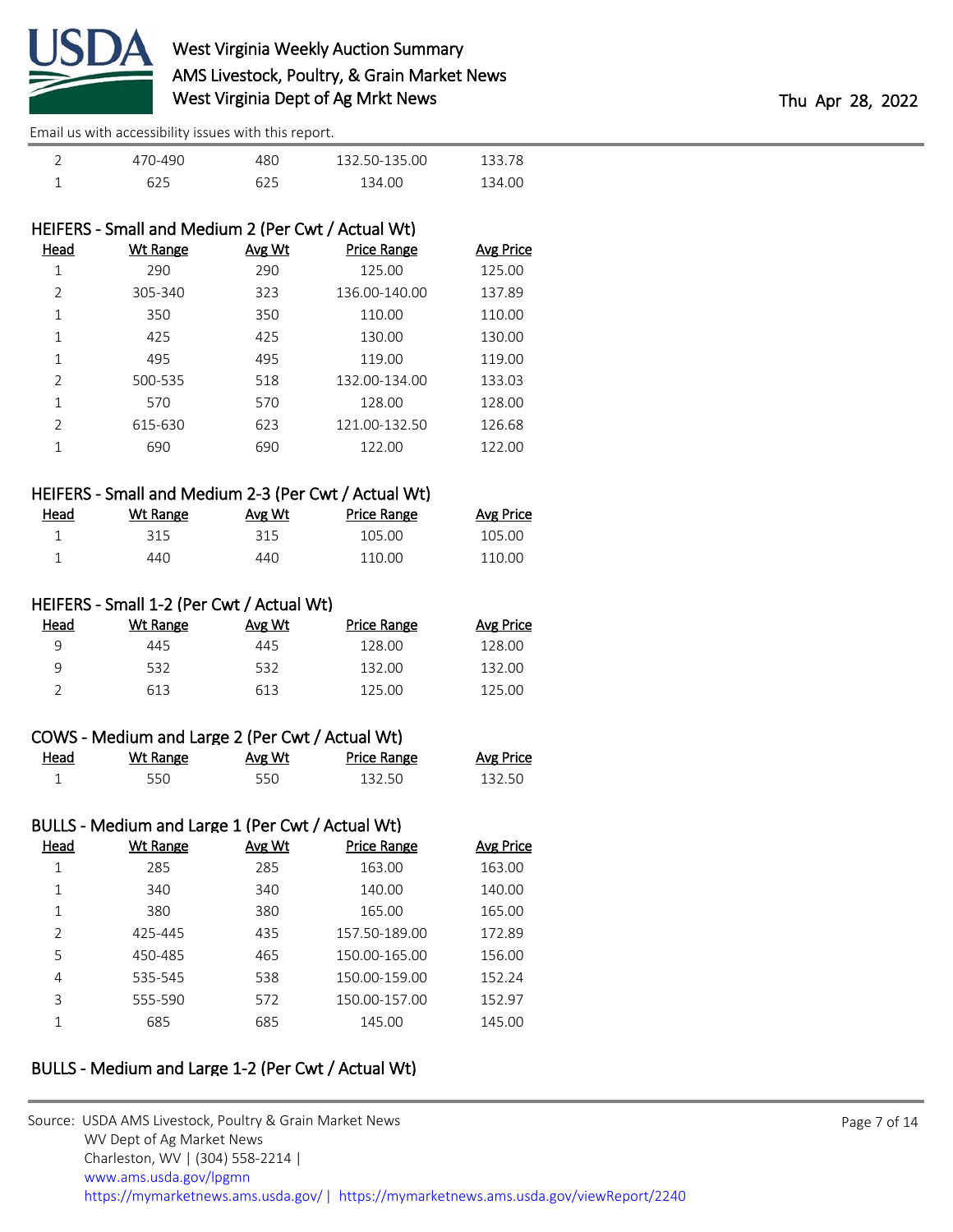

| 470-490 | 480. | 132.50-135.00 | 133.78 |
|---------|------|---------------|--------|
| 625     | 625  | 134.00        | 134.00 |

### HEIFERS - Small and Medium 2 (Per Cwt / Actual Wt)

| Head           | <b>Wt Range</b> | Avg Wt | <b>Price Range</b> | Avg Price |
|----------------|-----------------|--------|--------------------|-----------|
| 1              | 290             | 290    | 125.00             | 125.00    |
| $\overline{2}$ | 305-340         | 323    | 136.00-140.00      | 137.89    |
| 1              | 350             | 350    | 110.00             | 110.00    |
| 1              | 425             | 425    | 130.00             | 130.00    |
| 1              | 495             | 495    | 119.00             | 119.00    |
| $\overline{2}$ | 500-535         | 518    | 132.00-134.00      | 133.03    |
| 1              | 570             | 570    | 128.00             | 128.00    |
| 2              | 615-630         | 623    | 121.00-132.50      | 126.68    |
| 1              | 690             | 690    | 122.00             | 122.00    |
|                |                 |        |                    |           |

### HEIFERS - Small and Medium 2-3 (Per Cwt / Actual Wt)

| <u>Head</u> | Wt Range | Avg Wt | Price Range | <b>Avg Price</b> |
|-------------|----------|--------|-------------|------------------|
|             | 315      | 315    | 105.00      | 105.00           |
|             | 440.     | 440    | 110.00      | 110.00           |

### HEIFERS - Small 1-2 (Per Cwt / Actual Wt)

| Head | Wt Range | Avg Wt | Price Range | <b>Avg Price</b> |
|------|----------|--------|-------------|------------------|
| a    | 445      | 445    | 128.00      | 128.00           |
| q    | 532      | 532    | 132.00      | 132.00           |
|      | 613      | 613    | 125.00      | 125.00           |

| COWS - Medium and Large 2 (Per Cwt / Actual Wt) |          |        |             |           |  |  |
|-------------------------------------------------|----------|--------|-------------|-----------|--|--|
| Head                                            | Wt Range | Avg Wt | Price Range | Avg Price |  |  |
|                                                 | 550.     | 550    | 132.50      | 132.50    |  |  |

# BULLS - Medium and Large 1 (Per Cwt / Actual Wt)

| Head           | Wt Range | Avg Wt | <b>Price Range</b> | Avg Price |
|----------------|----------|--------|--------------------|-----------|
| 1              | 285      | 285    | 163.00             | 163.00    |
| 1              | 340      | 340    | 140.00             | 140.00    |
| 1              | 380      | 380    | 165.00             | 165.00    |
| $\mathfrak{D}$ | 425-445  | 435    | 157.50-189.00      | 172.89    |
| 5              | 450-485  | 465    | 150.00-165.00      | 156.00    |
| 4              | 535-545  | 538    | 150.00-159.00      | 152.24    |
| 3              | 555-590  | 572    | 150.00-157.00      | 152.97    |
| 1              | 685      | 685    | 145.00             | 145.00    |
|                |          |        |                    |           |

## BULLS - Medium and Large 1-2 (Per Cwt / Actual Wt)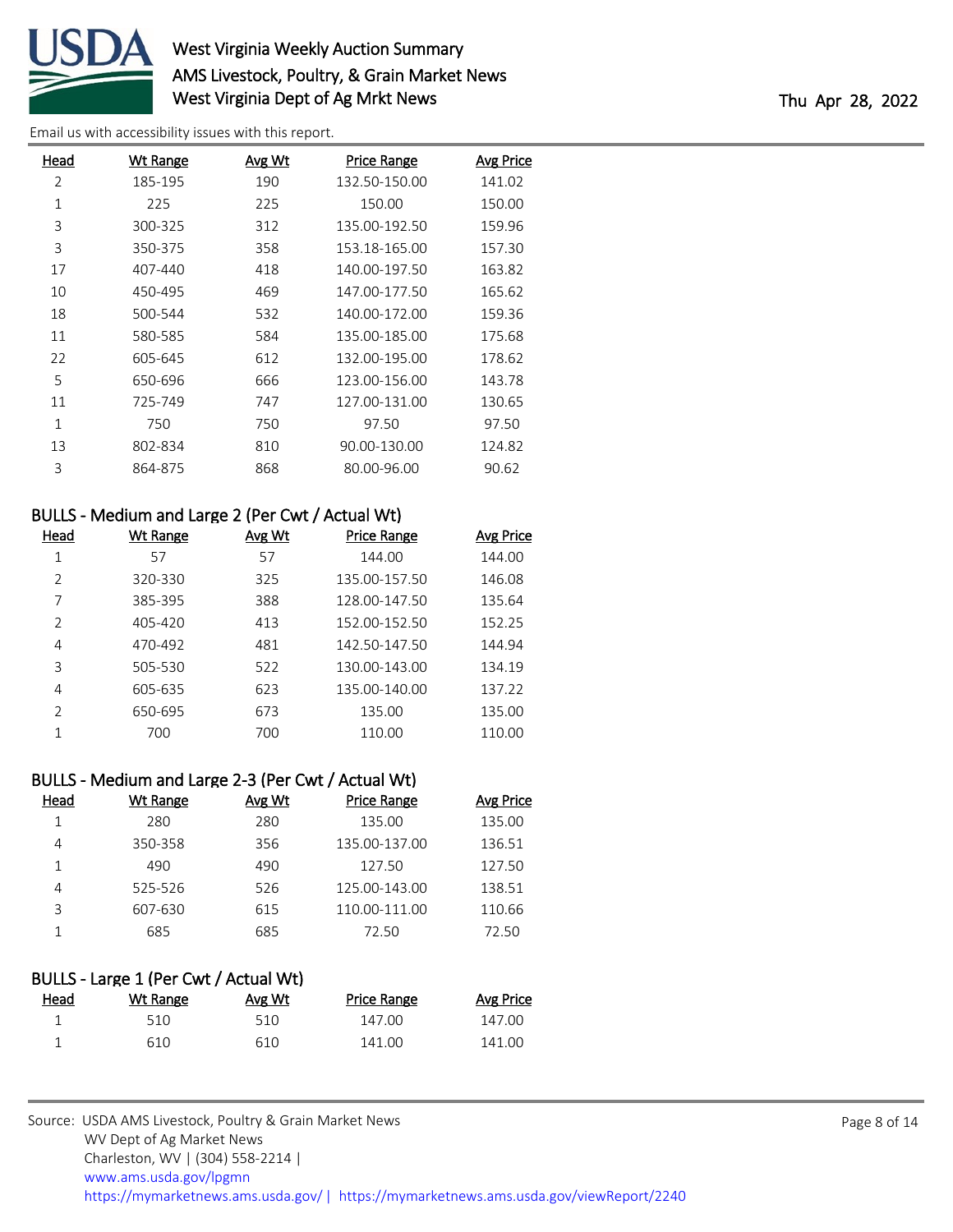

# West Virginia Weekly Auction Summary AMS Livestock, Poultry, & Grain Market News West Virginia Dept of Ag Mrkt News Thu Apr 28, 2022

[Email us with accessibility issues with this report.](mailto:mars@ams.usda.gov?subject=508%20issue)

| Head | <b>Wt Range</b> | <b>Avg Wt</b> | <b>Price Range</b> | <b>Avg Price</b> |
|------|-----------------|---------------|--------------------|------------------|
| 2    | 185-195         | 190           | 132.50-150.00      | 141.02           |
| 1    | 225             | 225           | 150.00             | 150.00           |
| 3    | 300-325         | 312           | 135.00-192.50      | 159.96           |
| 3    | 350-375         | 358           | 153.18-165.00      | 157.30           |
| 17   | 407-440         | 418           | 140.00-197.50      | 163.82           |
| 10   | 450-495         | 469           | 147.00-177.50      | 165.62           |
| 18   | 500-544         | 532           | 140.00-172.00      | 159.36           |
| 11   | 580-585         | 584           | 135.00-185.00      | 175.68           |
| 22   | 605-645         | 612           | 132.00-195.00      | 178.62           |
| 5    | 650-696         | 666           | 123.00-156.00      | 143.78           |
| 11   | 725-749         | 747           | 127.00-131.00      | 130.65           |
| 1    | 750             | 750           | 97.50              | 97.50            |
| 13   | 802-834         | 810           | 90.00-130.00       | 124.82           |
| 3    | 864-875         | 868           | 80.00-96.00        | 90.62            |
|      |                 |               |                    |                  |

## BULLS - Medium and Large 2 (Per Cwt / Actual Wt)

| Head           | Wt Range | Avg Wt | <b>Price Range</b> | <b>Avg Price</b> |
|----------------|----------|--------|--------------------|------------------|
|                | 57       | 57     | 144.00             | 144.00           |
| $\mathcal{P}$  | 320-330  | 325    | 135.00-157.50      | 146.08           |
| 7              | 385-395  | 388    | 128.00-147.50      | 135.64           |
| $\overline{2}$ | 405-420  | 413    | 152.00-152.50      | 152.25           |
| 4              | 470-492  | 481    | 142.50-147.50      | 144.94           |
| 3              | 505-530  | 522    | 130.00-143.00      | 134.19           |
| 4              | 605-635  | 623    | 135.00-140.00      | 137.22           |
| $\mathcal{P}$  | 650-695  | 673    | 135.00             | 135.00           |
|                | 700      | 700    | 110.00             | 110.00           |

# BULLS - Medium and Large 2-3 (Per Cwt / Actual Wt)

| Head | <b>Wt Range</b> | Avg Wt | <b>Price Range</b> | <b>Avg Price</b> |
|------|-----------------|--------|--------------------|------------------|
|      | 280             | 280    | 135.00             | 135.00           |
| 4    | 350-358         | 356    | 135.00-137.00      | 136.51           |
|      | 490             | 490    | 127.50             | 127.50           |
|      | 525-526         | 526    | 125.00-143.00      | 138.51           |
| 3    | 607-630         | 615    | 110.00-111.00      | 110.66           |
|      | 685             | 685    | 72.50              | 72.50            |

| BULLS - Large 1 (Per Cwt / Actual Wt) |          |        |             |           |  |  |  |
|---------------------------------------|----------|--------|-------------|-----------|--|--|--|
| Head                                  | Wt Range | Avg Wt | Price Range | Avg Price |  |  |  |
|                                       | 510      | 510    | 147.00      | 147.00    |  |  |  |
|                                       | 610      | 610    | 141.00      | 141.00    |  |  |  |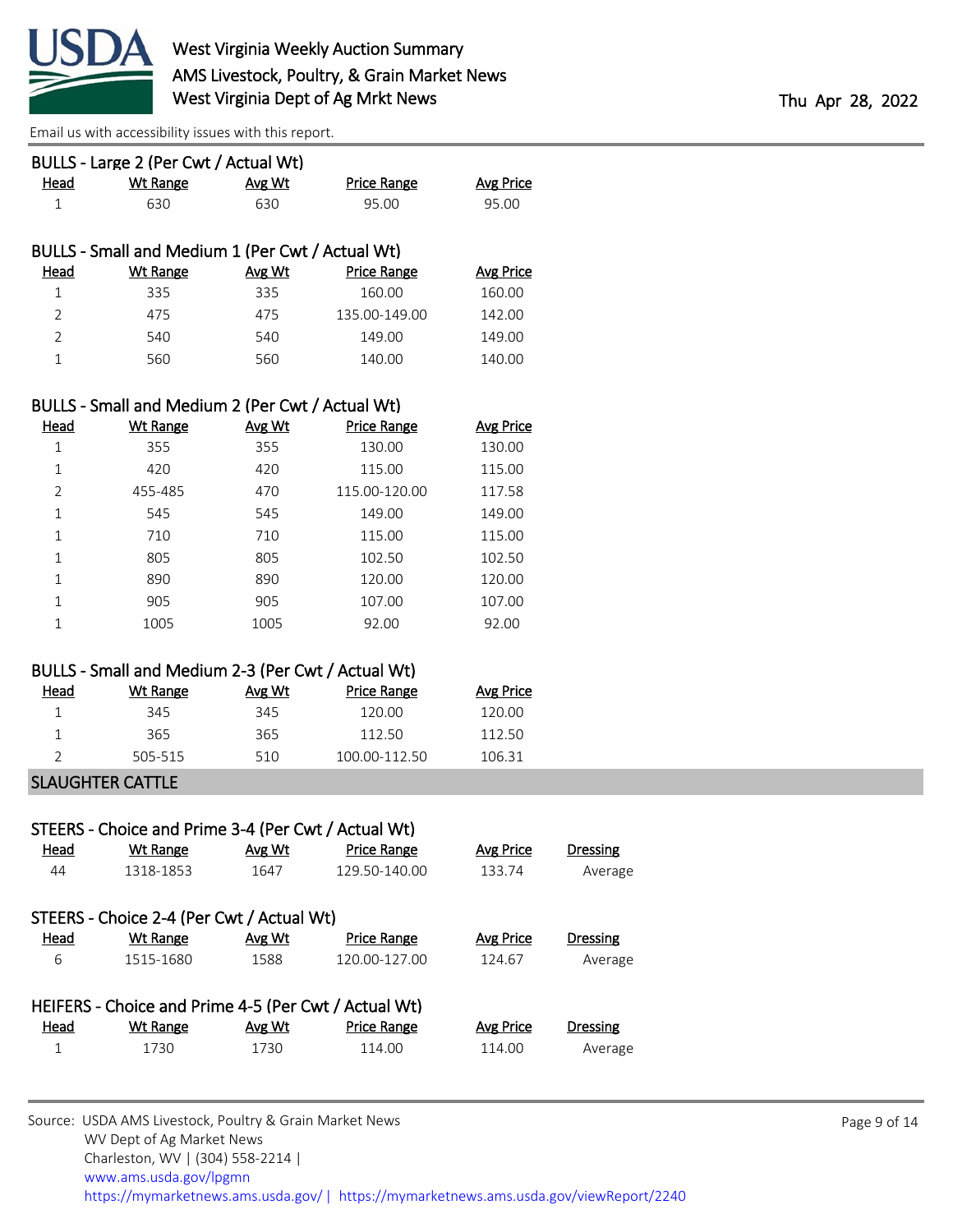

| Head           | BULLS - Large 2 (Per Cwt / Actual Wt)<br><b>Wt Range</b> | Avg Wt | <b>Price Range</b> | <b>Avg Price</b> |                 |  |
|----------------|----------------------------------------------------------|--------|--------------------|------------------|-----------------|--|
| $\mathbf{1}$   | 630                                                      | 630    | 95.00              | 95.00            |                 |  |
|                | BULLS - Small and Medium 1 (Per Cwt / Actual Wt)         |        |                    |                  |                 |  |
| <u>Head</u>    | <b>Wt Range</b>                                          | Avg Wt | <b>Price Range</b> | <b>Avg Price</b> |                 |  |
| $\mathbf 1$    | 335                                                      | 335    | 160.00             | 160.00           |                 |  |
| $\overline{2}$ | 475                                                      | 475    | 135.00-149.00      | 142.00           |                 |  |
| $\overline{2}$ | 540                                                      | 540    | 149.00             | 149.00           |                 |  |
| $\mathbf{1}$   | 560                                                      | 560    | 140.00             | 140.00           |                 |  |
|                | BULLS - Small and Medium 2 (Per Cwt / Actual Wt)         |        |                    |                  |                 |  |
| Head           | <b>Wt Range</b>                                          | Avg Wt | <b>Price Range</b> | <b>Avg Price</b> |                 |  |
| $\mathbf{1}$   | 355                                                      | 355    | 130.00             | 130.00           |                 |  |
| $\mathbf{1}$   | 420                                                      | 420    | 115.00             | 115.00           |                 |  |
| $\overline{2}$ | 455-485                                                  | 470    | 115.00-120.00      | 117.58           |                 |  |
| $\mathbf 1$    | 545                                                      | 545    | 149.00             | 149.00           |                 |  |
| 1              | 710                                                      | 710    | 115.00             | 115.00           |                 |  |
| $\mathbf 1$    | 805                                                      | 805    | 102.50             | 102.50           |                 |  |
| 1              | 890                                                      | 890    | 120.00             | 120.00           |                 |  |
| $\mathbf{1}$   | 905                                                      | 905    | 107.00             | 107.00           |                 |  |
| $\mathbf{1}$   | 1005                                                     | 1005   | 92.00              | 92.00            |                 |  |
|                | BULLS - Small and Medium 2-3 (Per Cwt / Actual Wt)       |        |                    |                  |                 |  |
| <b>Head</b>    | <b>Wt Range</b>                                          | Avg Wt | <b>Price Range</b> | <b>Avg Price</b> |                 |  |
| $\mathbf{1}$   | 345                                                      | 345    | 120.00             | 120.00           |                 |  |
| 1              | 365                                                      | 365    | 112.50             | 112.50           |                 |  |
| 2              | 505-515                                                  | 510    | 100.00-112.50      | 106.31           |                 |  |
|                | <b>SLAUGHTER CATTLE</b>                                  |        |                    |                  |                 |  |
|                | STEERS - Choice and Prime 3-4 (Per Cwt / Actual Wt)      |        |                    |                  |                 |  |
| <u>Head</u>    | <b>Wt Range</b>                                          | Avg Wt | <b>Price Range</b> | <b>Avg Price</b> | <b>Dressing</b> |  |
| 44             | 1318-1853                                                | 1647   | 129.50-140.00      | 133.74           | Average         |  |
|                | STEERS - Choice 2-4 (Per Cwt / Actual Wt)                |        |                    |                  |                 |  |
| <b>Head</b>    | <b>Wt Range</b>                                          | Avg Wt | <b>Price Range</b> | <b>Avg Price</b> | Dressing        |  |
| 6              | 1515-1680                                                | 1588   | 120.00-127.00      | 124.67           | Average         |  |
|                | HEIFERS - Choice and Prime 4-5 (Per Cwt / Actual Wt)     |        |                    |                  |                 |  |
| <b>Head</b>    | <b>Wt Range</b>                                          | Avg Wt | <b>Price Range</b> | <b>Avg Price</b> | <b>Dressing</b> |  |
| $\mathbf{1}$   | 1730                                                     | 1730   | 114.00             | 114.00           | Average         |  |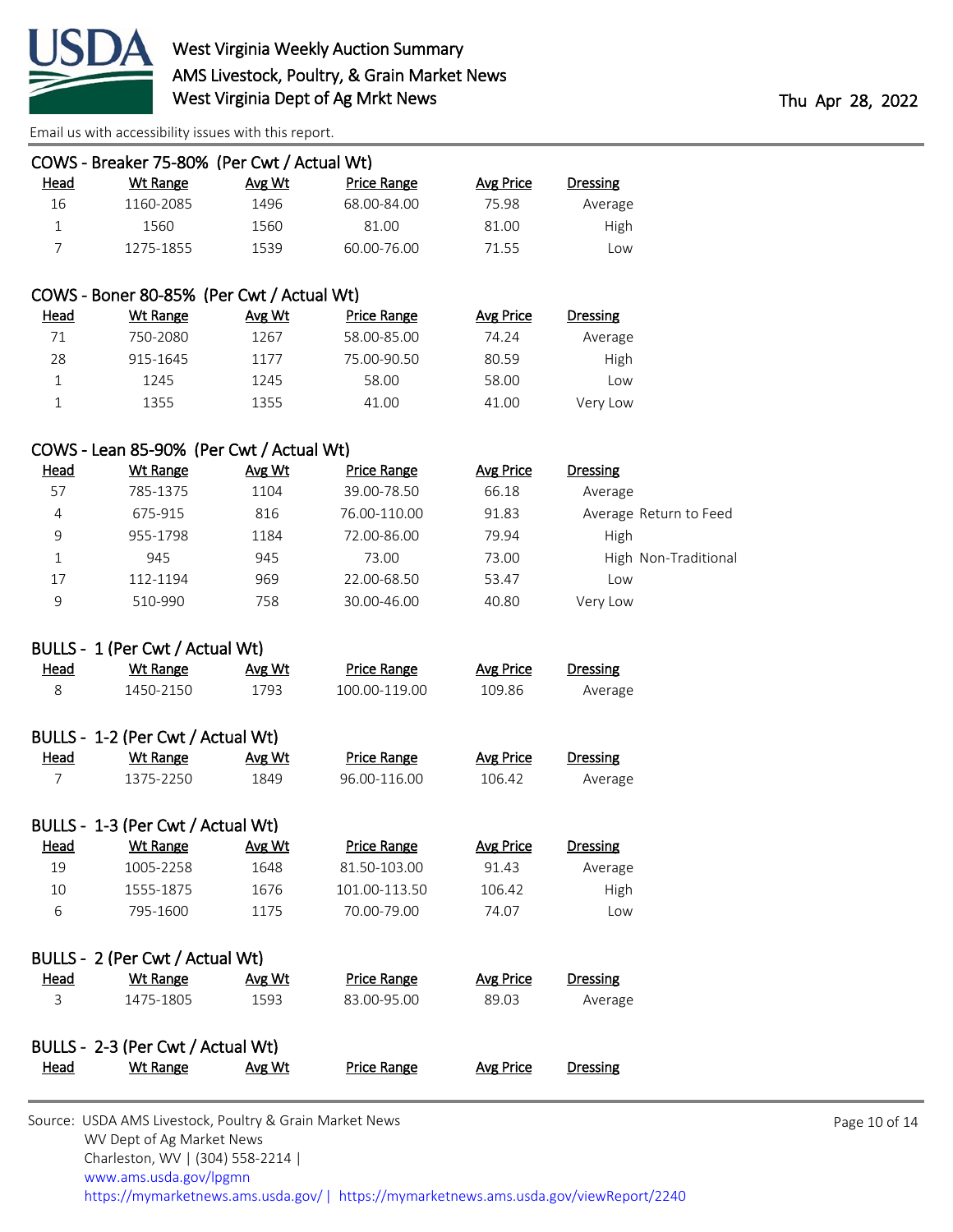

|                | COWS - Breaker 75-80% (Per Cwt / Actual Wt) |        |                    |                  |                 |                        |
|----------------|---------------------------------------------|--------|--------------------|------------------|-----------------|------------------------|
| <u>Head</u>    | <b>Wt Range</b>                             | Avg Wt | <b>Price Range</b> | <b>Avg Price</b> | <b>Dressing</b> |                        |
| 16             | 1160-2085                                   | 1496   | 68.00-84.00        | 75.98            | Average         |                        |
| $\mathbf{1}$   | 1560                                        | 1560   | 81.00              | 81.00            | High            |                        |
| $\overline{7}$ | 1275-1855                                   | 1539   | 60.00-76.00        | 71.55            | Low             |                        |
|                |                                             |        |                    |                  |                 |                        |
|                | COWS - Boner 80-85% (Per Cwt / Actual Wt)   |        |                    |                  |                 |                        |
| <b>Head</b>    | <b>Wt Range</b>                             | Avg Wt | <b>Price Range</b> | <b>Avg Price</b> | <b>Dressing</b> |                        |
| 71             | 750-2080                                    | 1267   | 58.00-85.00        | 74.24            | Average         |                        |
| 28             | 915-1645                                    | 1177   | 75.00-90.50        | 80.59            | High            |                        |
| $\mathbf{1}$   | 1245                                        | 1245   | 58.00              | 58.00            | Low             |                        |
| 1              | 1355                                        | 1355   | 41.00              | 41.00            | Very Low        |                        |
|                |                                             |        |                    |                  |                 |                        |
|                | COWS - Lean 85-90% (Per Cwt / Actual Wt)    |        |                    |                  |                 |                        |
| <b>Head</b>    | <b>Wt Range</b>                             | Avg Wt | <b>Price Range</b> | <b>Avg Price</b> | <b>Dressing</b> |                        |
| 57             | 785-1375                                    | 1104   | 39.00-78.50        | 66.18            | Average         |                        |
| $\overline{4}$ | 675-915                                     | 816    | 76.00-110.00       | 91.83            |                 | Average Return to Feed |
| 9              | 955-1798                                    | 1184   | 72.00-86.00        | 79.94            | High            |                        |
| $\mathbf{1}$   | 945                                         | 945    | 73.00              | 73.00            |                 | High Non-Traditional   |
| 17             | 112-1194                                    | 969    | 22.00-68.50        | 53.47            | Low             |                        |
| 9              | 510-990                                     | 758    | 30.00-46.00        | 40.80            | Very Low        |                        |
|                | BULLS - 1 (Per Cwt / Actual Wt)             |        |                    |                  |                 |                        |
| Head           | <b>Wt Range</b>                             | Avg Wt | <b>Price Range</b> | <b>Avg Price</b> | <b>Dressing</b> |                        |
| 8              | 1450-2150                                   | 1793   | 100.00-119.00      | 109.86           | Average         |                        |
|                |                                             |        |                    |                  |                 |                        |
|                | BULLS - 1-2 (Per Cwt / Actual Wt)           |        |                    |                  |                 |                        |
| <b>Head</b>    | <b>Wt Range</b>                             | Avg Wt | <b>Price Range</b> | <b>Avg Price</b> | <b>Dressing</b> |                        |
| 7              | 1375-2250                                   | 1849   | 96.00-116.00       | 106.42           | Average         |                        |
|                |                                             |        |                    |                  |                 |                        |
|                | BULLS - 1-3 (Per Cwt / Actual Wt)           |        |                    |                  |                 |                        |
| <b>Head</b>    | <b>Wt Range</b>                             | Avg Wt | <b>Price Range</b> | <b>Avg Price</b> | <b>Dressing</b> |                        |
| 19             | 1005-2258                                   | 1648   | 81.50-103.00       | 91.43            | Average         |                        |
| 10             | 1555-1875                                   | 1676   | 101.00-113.50      | 106.42           | High            |                        |
| 6              | 795-1600                                    | 1175   | 70.00-79.00        | 74.07            | Low             |                        |
|                | BULLS - 2 (Per Cwt / Actual Wt)             |        |                    |                  |                 |                        |
| Head           | Wt Range                                    | Avg Wt | <b>Price Range</b> | <b>Avg Price</b> | <b>Dressing</b> |                        |
| 3              | 1475-1805                                   | 1593   | 83.00-95.00        | 89.03            | Average         |                        |
|                |                                             |        |                    |                  |                 |                        |
|                | BULLS - 2-3 (Per Cwt / Actual Wt)           |        |                    |                  |                 |                        |
| Head           | <b>Wt Range</b>                             | Avg Wt | <b>Price Range</b> | <b>Avg Price</b> | <b>Dressing</b> |                        |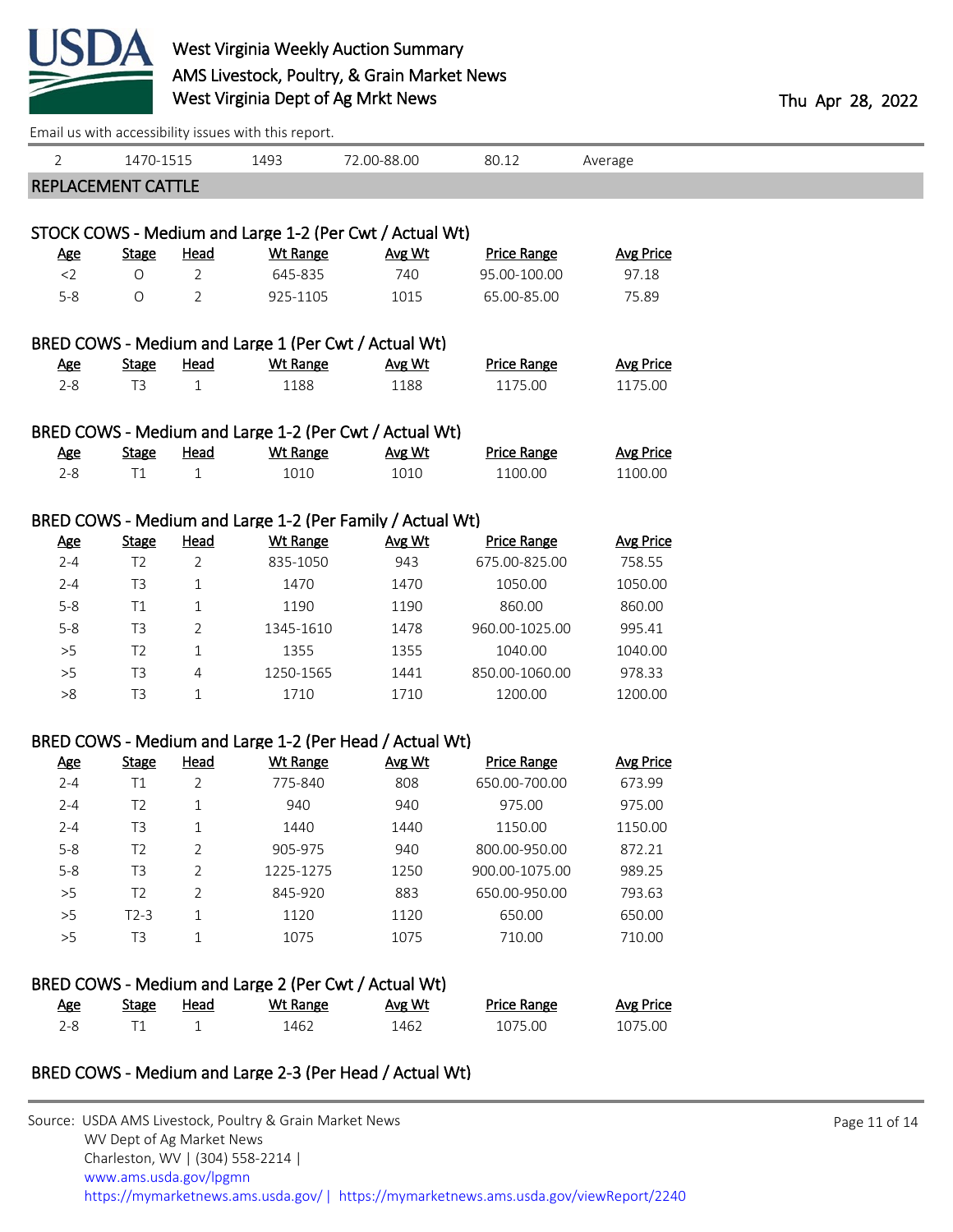

|                           |                |                | Email us with accessibility issues with this report.      |             |                    |                  |  |
|---------------------------|----------------|----------------|-----------------------------------------------------------|-------------|--------------------|------------------|--|
| 2                         | 1470-1515      |                | 1493                                                      | 72.00-88.00 | 80.12              | Average          |  |
| <b>REPLACEMENT CATTLE</b> |                |                |                                                           |             |                    |                  |  |
|                           |                |                |                                                           |             |                    |                  |  |
|                           |                |                | STOCK COWS - Medium and Large 1-2 (Per Cwt / Actual Wt)   |             |                    |                  |  |
| <u>Age</u>                | <b>Stage</b>   | <b>Head</b>    | <b>Wt Range</b>                                           | Avg Wt      | <b>Price Range</b> | <b>Avg Price</b> |  |
| $<$ 2                     | O              | $\overline{2}$ | 645-835                                                   | 740         | 95.00-100.00       | 97.18            |  |
| $5 - 8$                   | O              | 2              | 925-1105                                                  | 1015        | 65.00-85.00        | 75.89            |  |
|                           |                |                | BRED COWS - Medium and Large 1 (Per Cwt / Actual Wt)      |             |                    |                  |  |
| <b>Age</b>                | <b>Stage</b>   | Head           | <b>Wt Range</b>                                           | Avg Wt      | <b>Price Range</b> | <b>Avg Price</b> |  |
| $2 - 8$                   | T <sub>3</sub> | $\mathbf{1}$   | 1188                                                      | 1188        | 1175.00            | 1175.00          |  |
|                           |                |                | BRED COWS - Medium and Large 1-2 (Per Cwt / Actual Wt)    |             |                    |                  |  |
| <b>Age</b>                | <b>Stage</b>   | <b>Head</b>    | <b>Wt Range</b>                                           | Avg Wt      | <b>Price Range</b> | <b>Avg Price</b> |  |
| $2 - 8$                   | T1             | $\mathbf{1}$   | 1010                                                      | 1010        | 1100.00            | 1100.00          |  |
|                           |                |                |                                                           |             |                    |                  |  |
|                           |                |                | BRED COWS - Medium and Large 1-2 (Per Family / Actual Wt) |             |                    |                  |  |
| <b>Age</b>                | <b>Stage</b>   | <b>Head</b>    | <b>Wt Range</b>                                           | Avg Wt      | <b>Price Range</b> | <b>Avg Price</b> |  |
| $2 - 4$                   | T <sub>2</sub> | $\overline{2}$ | 835-1050                                                  | 943         | 675.00-825.00      | 758.55           |  |
| $2 - 4$                   | T <sub>3</sub> | $\mathbf 1$    | 1470                                                      | 1470        | 1050.00            | 1050.00          |  |
| $5 - 8$                   | T1             | $\mathbf 1$    | 1190                                                      | 1190        | 860.00             | 860.00           |  |
| $5 - 8$                   | T <sub>3</sub> | 2              | 1345-1610                                                 | 1478        | 960.00-1025.00     | 995.41           |  |
| $>5$                      | T <sub>2</sub> | $\mathbf{1}$   | 1355                                                      | 1355        | 1040.00            | 1040.00          |  |
| >5                        | T <sub>3</sub> | 4              | 1250-1565                                                 | 1441        | 850.00-1060.00     | 978.33           |  |
| >8                        | T <sub>3</sub> | $\mathbf{1}$   | 1710                                                      | 1710        | 1200.00            | 1200.00          |  |
|                           |                |                | BRED COWS - Medium and Large 1-2 (Per Head / Actual Wt)   |             |                    |                  |  |
| <b>Age</b>                | <b>Stage</b>   | <b>Head</b>    | <b>Wt Range</b>                                           | Avg Wt      | <b>Price Range</b> | <b>Avg Price</b> |  |
| $2 - 4$                   | T1             | 2              | 775-840                                                   | 808         | 650.00-700.00      | 673.99           |  |
| $2 - 4$                   | T <sub>2</sub> | $\mathbf{1}$   | 940                                                       | 940         | 975.00             | 975.00           |  |
| $2 - 4$                   | T <sub>3</sub> | $1\,$          | 1440                                                      | 1440        | 1150.00            | 1150.00          |  |
| $5 - 8$                   | T <sub>2</sub> | 2              | 905-975                                                   | 940         | 800.00-950.00      | 872.21           |  |
| $5 - 8$                   | T <sub>3</sub> | 2              | 1225-1275                                                 | 1250        | 900.00-1075.00     | 989.25           |  |
| >5                        | T <sub>2</sub> | 2              | 845-920                                                   | 883         | 650.00-950.00      | 793.63           |  |
| >5                        | $T2-3$         | 1              | 1120                                                      | 1120        | 650.00             | 650.00           |  |
| >5                        | T <sub>3</sub> | 1              | 1075                                                      | 1075        | 710.00             | 710.00           |  |
|                           |                |                | BRED COWS - Medium and Large 2 (Per Cwt / Actual Wt)      |             |                    |                  |  |
| <b>Age</b>                | <b>Stage</b>   | <u>Head</u>    | <b>Wt Range</b>                                           | Avg Wt      | <b>Price Range</b> | <b>Avg Price</b> |  |
| $2 - 8$                   | T1             | $\mathbf{1}$   | 1462                                                      | 1462        | 1075.00            | 1075.00          |  |

## BRED COWS - Medium and Large 2-3 (Per Head / Actual Wt)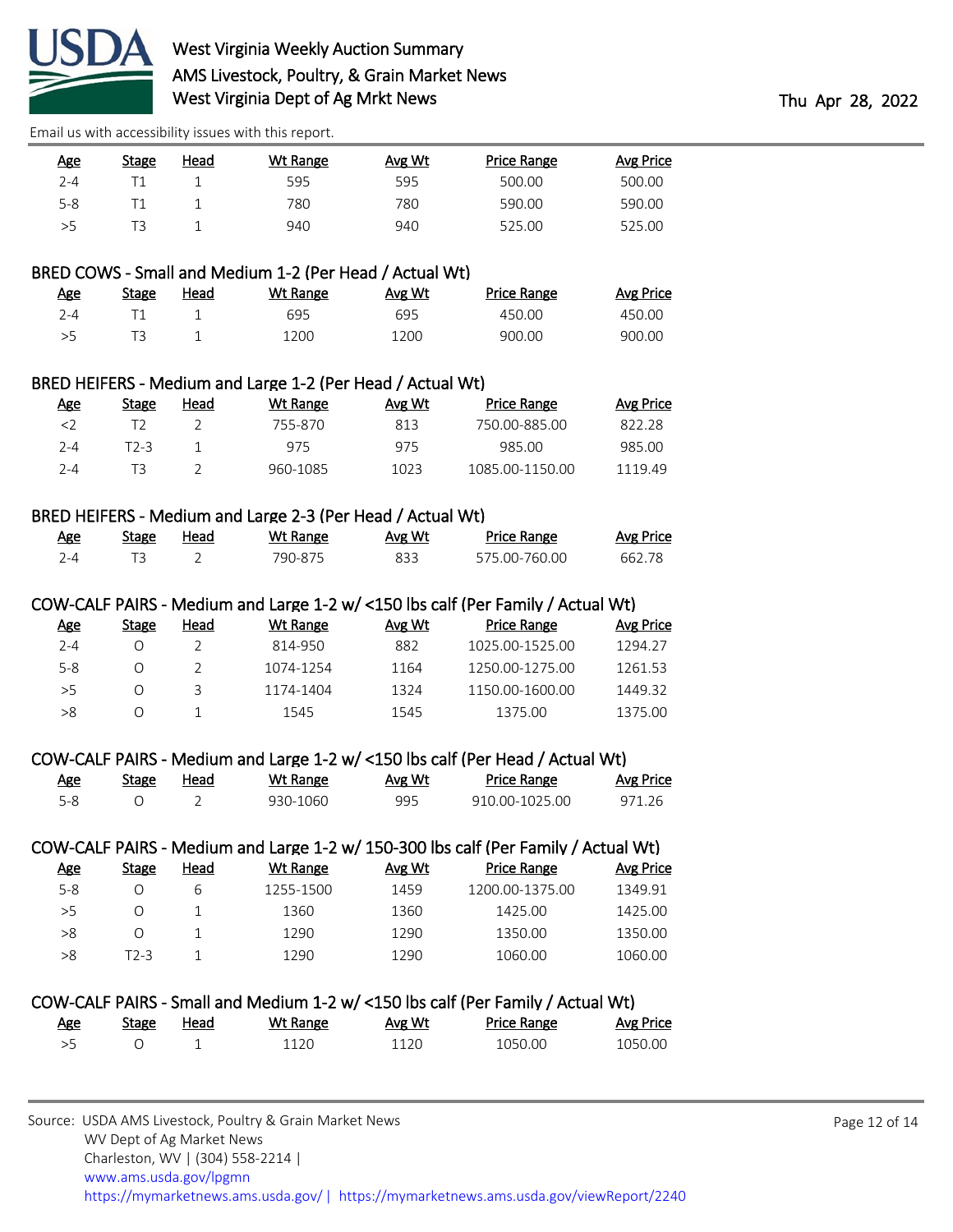

| <u>Age</u> | Stage | Head | Wt Range | Avg Wt | Price Range | Avg Price |
|------------|-------|------|----------|--------|-------------|-----------|
| $2 - 4$    |       |      | 595      | 595    | 500.00      | 500.00    |
| $5 - 8$    |       |      | 780      | 780    | 590.00      | 590.00    |
| >5         |       |      | 940      | 940    | 525.00      | 525.00    |

## BRED COWS - Small and Medium 1-2 (Per Head / Actual Wt)

| Age     | Stage | Head | Wt Range | Avg Wt | <b>Price Range</b> | <b>Avg Price</b> |
|---------|-------|------|----------|--------|--------------------|------------------|
| $7 - 4$ |       |      | 695      | 695    | 450.00             | 450.00           |
| >5      |       |      | 1200     | 1200   | 900.00             | 900.00           |

### BRED HEIFERS - Medium and Large 1-2 (Per Head / Actual Wt)

| Age       | Stage | Head | Wt Range | Avg Wt | Price Range     | Avg Price |
|-----------|-------|------|----------|--------|-----------------|-----------|
| $\langle$ |       |      | 755-870  | 813    | 750.00-885.00   | 822.28    |
| $2 - 4$   | T2-3  |      | 975      | 975    | 985.00          | 985.00    |
| 2-4       |       |      | 960-1085 | 1023   | 1085 00-1150 00 | 111949    |

### BRED HEIFERS - Medium and Large 2-3 (Per Head / Actual Wt)

| Age   | Stage | Head | Wt Range | Avg Wt | <b>Price Range</b> | Avg Price |
|-------|-------|------|----------|--------|--------------------|-----------|
| / − ∆ |       |      | 790-875  | 833    | 575.00-760.00      | 662.78    |

### COW-CALF PAIRS - Medium and Large 1-2 w/ <150 lbs calf (Per Family / Actual Wt)

| <u>Age</u> | Stage | Head | Wt Range  | Avg Wt | <b>Price Range</b> | Avg Price |
|------------|-------|------|-----------|--------|--------------------|-----------|
| $2 - 4$    |       |      | 814-950   | 882    | 1025.00-1525.00    | 1294.27   |
| $5-8$      |       |      | 1074-1254 | 1164   | 1250.00-1275.00    | 1261.53   |
| >5         |       |      | 1174-1404 | 1324   | 1150.00-1600.00    | 1449.32   |
| >8         |       |      | 1545      | 1545   | 1375.00            | 1375.00   |

### COW-CALF PAIRS - Medium and Large 1-2 w/ <150 lbs calf (Per Head / Actual Wt)

| <u>Age</u> | <b>Stage</b> | Head | Wt Range | Avg Wt | Price Range    | Avg Price |
|------------|--------------|------|----------|--------|----------------|-----------|
| 5-8        |              |      | 930-1060 | 995    | 910.00-1025.00 | 971.26    |

# COW-CALF PAIRS - Medium and Large 1-2 w/ 150-300 lbs calf (Per Family / Actual Wt)

| <u>Age</u> | Stage | Head | Wt Range  | Avg Wt | <b>Price Range</b> | Avg Price |
|------------|-------|------|-----------|--------|--------------------|-----------|
| $5-8$      |       |      | 1255-1500 | 1459   | 1200.00-1375.00    | 1349.91   |
| >5         |       |      | 1360      | 1360   | 1425.00            | 1425.00   |
| >8         |       |      | 1290      | 1290   | 1350.00            | 1350.00   |
| >8         | T2-3  |      | 1290      | 1290   | 1060.00            | 1060.00   |

# COW-CALF PAIRS - Small and Medium 1-2 w/ <150 lbs calf (Per Family / Actual Wt) Age Stage Head Wt Range Avg Wt Price Range Avg Price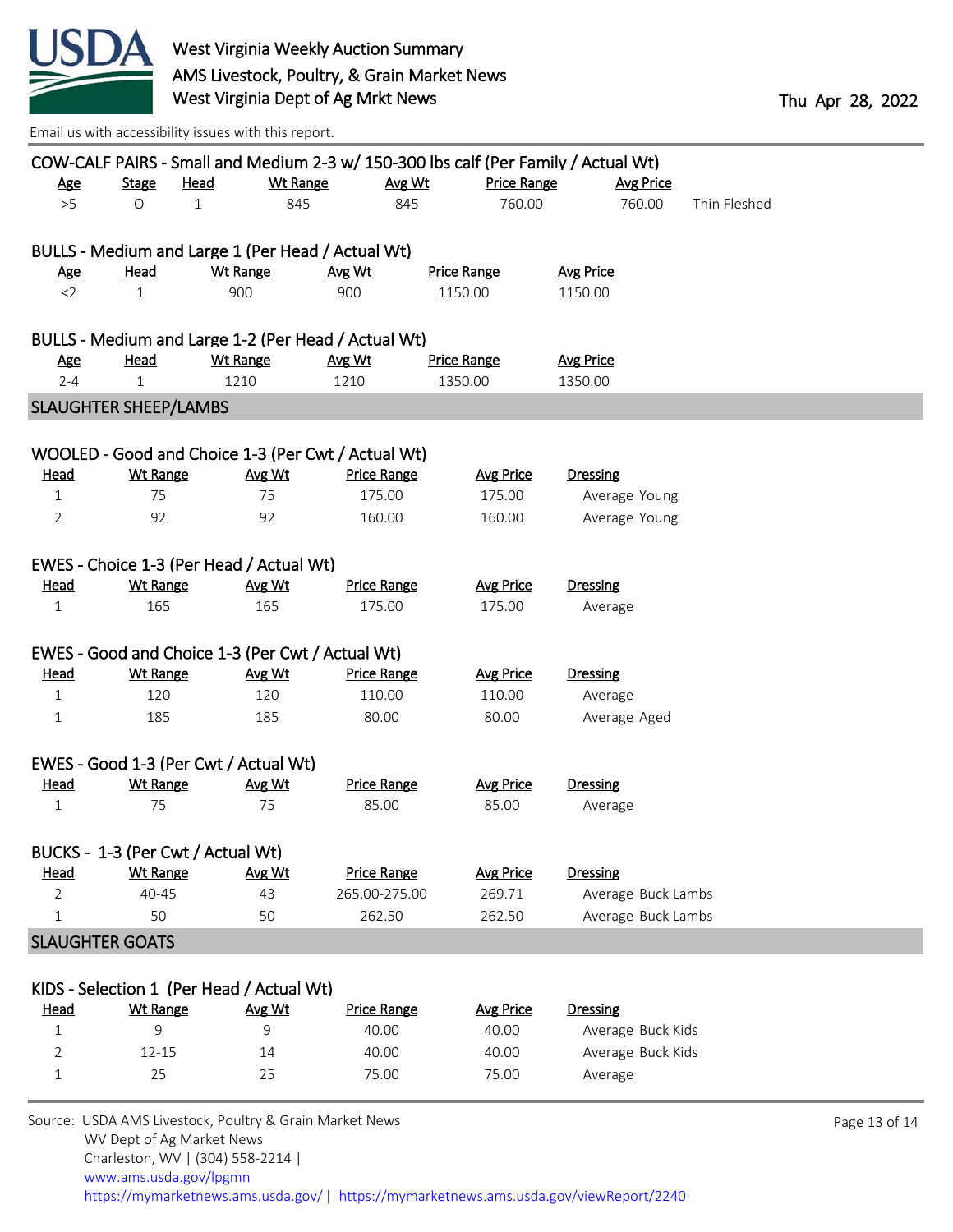

|              |                                                  |                 |                 |                                                     | COW-CALF PAIRS - Small and Medium 2-3 w/ 150-300 lbs calf (Per Family / Actual Wt) |                    |              |
|--------------|--------------------------------------------------|-----------------|-----------------|-----------------------------------------------------|------------------------------------------------------------------------------------|--------------------|--------------|
| <u>Age</u>   | <b>Stage</b>                                     | <b>Head</b>     | <b>Wt Range</b> | Avg Wt                                              | <b>Price Range</b>                                                                 | Avg Price          |              |
| $>5$         | O                                                | $\mathbf 1$     | 845             | 845                                                 | 760.00                                                                             | 760.00             | Thin Fleshed |
|              |                                                  |                 |                 | BULLS - Medium and Large 1 (Per Head / Actual Wt)   |                                                                                    |                    |              |
|              |                                                  |                 |                 |                                                     |                                                                                    |                    |              |
| <u>Age</u>   | Head                                             | <b>Wt Range</b> |                 | Avg Wt                                              | <b>Price Range</b>                                                                 | <b>Avg Price</b>   |              |
| $<$ 2        | $\mathbf{1}$                                     | 900             |                 | 900                                                 | 1150.00                                                                            | 1150.00            |              |
|              |                                                  |                 |                 | BULLS - Medium and Large 1-2 (Per Head / Actual Wt) |                                                                                    |                    |              |
| <b>Age</b>   | <b>Head</b>                                      | <b>Wt Range</b> |                 | Avg Wt                                              | <b>Price Range</b>                                                                 | <b>Avg Price</b>   |              |
| $2 - 4$      | 1                                                | 1210            |                 | 1210                                                | 1350.00                                                                            | 1350.00            |              |
|              | <b>SLAUGHTER SHEEP/LAMBS</b>                     |                 |                 |                                                     |                                                                                    |                    |              |
|              |                                                  |                 |                 |                                                     |                                                                                    |                    |              |
|              |                                                  |                 |                 | WOOLED - Good and Choice 1-3 (Per Cwt / Actual Wt)  |                                                                                    |                    |              |
| <u>Head</u>  | <b>Wt Range</b>                                  |                 | Avg Wt          | <b>Price Range</b>                                  | <b>Avg Price</b>                                                                   | <b>Dressing</b>    |              |
| $\mathbf{1}$ | 75                                               |                 | 75              | 175.00                                              | 175.00                                                                             | Average Young      |              |
| 2            | 92                                               |                 | 92              | 160.00                                              | 160.00                                                                             | Average Young      |              |
|              | EWES - Choice 1-3 (Per Head / Actual Wt)         |                 |                 |                                                     |                                                                                    |                    |              |
| <b>Head</b>  | <b>Wt Range</b>                                  |                 | Avg Wt          | <b>Price Range</b>                                  | <b>Avg Price</b>                                                                   | <b>Dressing</b>    |              |
| 1            | 165                                              |                 | 165             | 175.00                                              | 175.00                                                                             | Average            |              |
|              | EWES - Good and Choice 1-3 (Per Cwt / Actual Wt) |                 |                 |                                                     |                                                                                    |                    |              |
| <u>Head</u>  | <b>Wt Range</b>                                  |                 | Avg Wt          | <b>Price Range</b>                                  | <b>Avg Price</b>                                                                   | <b>Dressing</b>    |              |
| $\mathbf{1}$ | 120                                              |                 | 120             | 110.00                                              | 110.00                                                                             | Average            |              |
|              |                                                  |                 |                 |                                                     |                                                                                    |                    |              |
| 1            | 185                                              |                 | 185             | 80.00                                               | 80.00                                                                              | Average Aged       |              |
|              | EWES - Good 1-3 (Per Cwt / Actual Wt)            |                 |                 |                                                     |                                                                                    |                    |              |
| <u>Head</u>  | <b>Wt Range</b>                                  |                 | Avg Wt          | <b>Price Range</b>                                  | <b>Avg Price</b>                                                                   | <b>Dressing</b>    |              |
| $\mathbf 1$  | 75                                               |                 | 75              | 85.00                                               | 85.00                                                                              | Average            |              |
|              | BUCKS - 1-3 (Per Cwt / Actual Wt)                |                 |                 |                                                     |                                                                                    |                    |              |
| <u>Head</u>  | <b>Wt Range</b>                                  |                 | Avg Wt          | <b>Price Range</b>                                  | <b>Avg Price</b>                                                                   | <b>Dressing</b>    |              |
| 2            | 40-45                                            |                 | 43              | 265.00-275.00                                       | 269.71                                                                             | Average Buck Lambs |              |
| $\mathbf{1}$ | 50                                               |                 | 50              | 262.50                                              | 262.50                                                                             | Average Buck Lambs |              |
|              | <b>SLAUGHTER GOATS</b>                           |                 |                 |                                                     |                                                                                    |                    |              |
|              |                                                  |                 |                 |                                                     |                                                                                    |                    |              |
|              | KIDS - Selection 1 (Per Head / Actual Wt)        |                 |                 |                                                     |                                                                                    |                    |              |
| <u>Head</u>  | <b>Wt Range</b>                                  |                 | Avg Wt          | <b>Price Range</b>                                  | <b>Avg Price</b>                                                                   | <b>Dressing</b>    |              |
| $\mathbf{1}$ | 9                                                |                 | 9               | 40.00                                               | 40.00                                                                              | Average Buck Kids  |              |
| 2            | 12-15                                            |                 | 14              | 40.00                                               | 40.00                                                                              | Average Buck Kids  |              |
| 1            | 25                                               |                 | 25              | 75.00                                               | 75.00                                                                              | Average            |              |